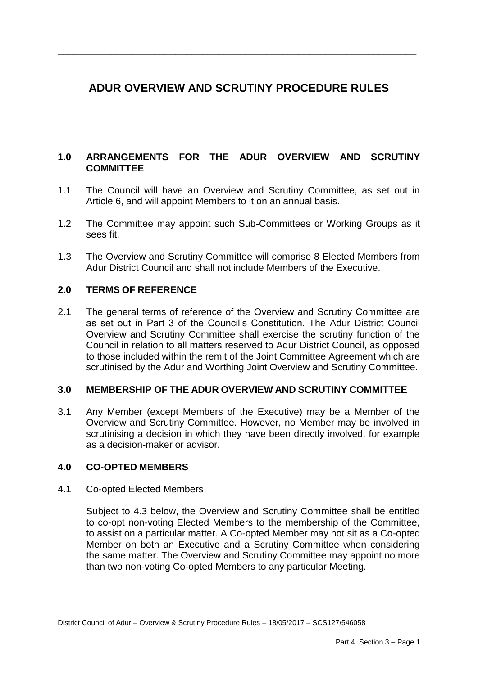# **ADUR OVERVIEW AND SCRUTINY PROCEDURE RULES**

**\_\_\_\_\_\_\_\_\_\_\_\_\_\_\_\_\_\_\_\_\_\_\_\_\_\_\_\_\_\_\_\_\_\_\_\_\_\_\_\_\_\_\_\_\_\_\_\_\_\_\_\_\_\_\_\_\_\_\_\_\_\_\_\_\_\_\_**

**\_\_\_\_\_\_\_\_\_\_\_\_\_\_\_\_\_\_\_\_\_\_\_\_\_\_\_\_\_\_\_\_\_\_\_\_\_\_\_\_\_\_\_\_\_\_\_\_\_\_\_\_\_\_\_\_\_\_\_\_\_\_\_\_\_\_\_**

# **1.0 ARRANGEMENTS FOR THE ADUR OVERVIEW AND SCRUTINY COMMITTEE**

- 1.1 The Council will have an Overview and Scrutiny Committee, as set out in Article 6, and will appoint Members to it on an annual basis.
- 1.2 The Committee may appoint such Sub-Committees or Working Groups as it sees fit.
- 1.3 The Overview and Scrutiny Committee will comprise 8 Elected Members from Adur District Council and shall not include Members of the Executive.

# **2.0 TERMS OF REFERENCE**

2.1 The general terms of reference of the Overview and Scrutiny Committee are as set out in Part 3 of the Council's Constitution. The Adur District Council Overview and Scrutiny Committee shall exercise the scrutiny function of the Council in relation to all matters reserved to Adur District Council, as opposed to those included within the remit of the Joint Committee Agreement which are scrutinised by the Adur and Worthing Joint Overview and Scrutiny Committee.

## **3.0 MEMBERSHIP OF THE ADUR OVERVIEW AND SCRUTINY COMMITTEE**

3.1 Any Member (except Members of the Executive) may be a Member of the Overview and Scrutiny Committee. However, no Member may be involved in scrutinising a decision in which they have been directly involved, for example as a decision-maker or advisor.

## **4.0 CO-OPTED MEMBERS**

#### 4.1 Co-opted Elected Members

Subject to 4.3 below, the Overview and Scrutiny Committee shall be entitled to co-opt non-voting Elected Members to the membership of the Committee, to assist on a particular matter. A Co-opted Member may not sit as a Co-opted Member on both an Executive and a Scrutiny Committee when considering the same matter. The Overview and Scrutiny Committee may appoint no more than two non-voting Co-opted Members to any particular Meeting.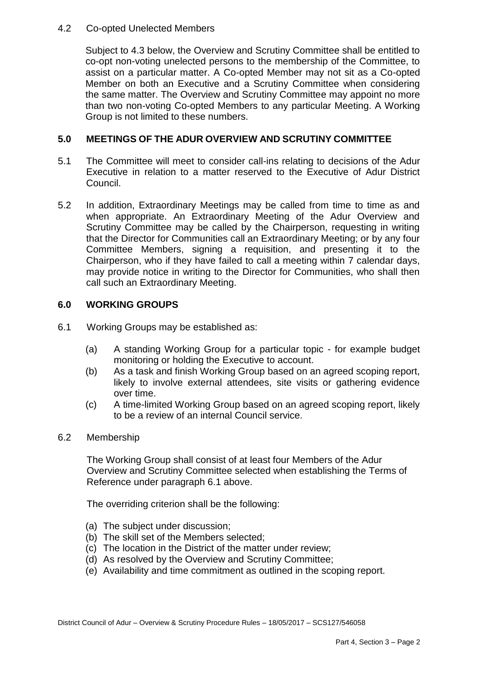### 4.2 Co-opted Unelected Members

Subject to 4.3 below, the Overview and Scrutiny Committee shall be entitled to co-opt non-voting unelected persons to the membership of the Committee, to assist on a particular matter. A Co-opted Member may not sit as a Co-opted Member on both an Executive and a Scrutiny Committee when considering the same matter. The Overview and Scrutiny Committee may appoint no more than two non-voting Co-opted Members to any particular Meeting. A Working Group is not limited to these numbers.

## **5.0 MEETINGS OF THE ADUR OVERVIEW AND SCRUTINY COMMITTEE**

- 5.1 The Committee will meet to consider call-ins relating to decisions of the Adur Executive in relation to a matter reserved to the Executive of Adur District Council.
- 5.2 In addition, Extraordinary Meetings may be called from time to time as and when appropriate. An Extraordinary Meeting of the Adur Overview and Scrutiny Committee may be called by the Chairperson, requesting in writing that the Director for Communities call an Extraordinary Meeting; or by any four Committee Members, signing a requisition, and presenting it to the Chairperson, who if they have failed to call a meeting within 7 calendar days, may provide notice in writing to the Director for Communities, who shall then call such an Extraordinary Meeting.

## **6.0 WORKING GROUPS**

- 6.1 Working Groups may be established as:
	- (a) A standing Working Group for a particular topic for example budget monitoring or holding the Executive to account.
	- (b) As a task and finish Working Group based on an agreed scoping report, likely to involve external attendees, site visits or gathering evidence over time.
	- (c) A time-limited Working Group based on an agreed scoping report, likely to be a review of an internal Council service.
- 6.2 Membership

The Working Group shall consist of at least four Members of the Adur Overview and Scrutiny Committee selected when establishing the Terms of Reference under paragraph 6.1 above.

The overriding criterion shall be the following:

- (a) The subject under discussion;
- (b) The skill set of the Members selected;
- (c) The location in the District of the matter under review;
- (d) As resolved by the Overview and Scrutiny Committee;
- (e) Availability and time commitment as outlined in the scoping report.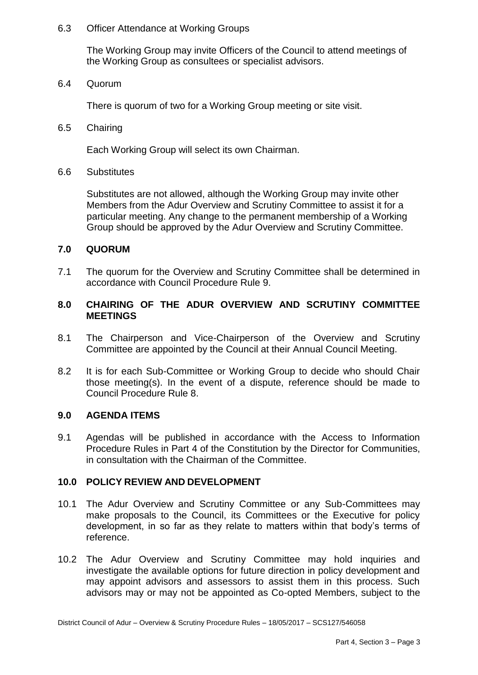#### 6.3 Officer Attendance at Working Groups

The Working Group may invite Officers of the Council to attend meetings of the Working Group as consultees or specialist advisors.

6.4 Quorum

There is quorum of two for a Working Group meeting or site visit.

6.5 Chairing

Each Working Group will select its own Chairman.

6.6 Substitutes

Substitutes are not allowed, although the Working Group may invite other Members from the Adur Overview and Scrutiny Committee to assist it for a particular meeting. Any change to the permanent membership of a Working Group should be approved by the Adur Overview and Scrutiny Committee.

#### **7.0 QUORUM**

7.1 The quorum for the Overview and Scrutiny Committee shall be determined in accordance with Council Procedure Rule 9.

#### **8.0 CHAIRING OF THE ADUR OVERVIEW AND SCRUTINY COMMITTEE MEETINGS**

- 8.1 The Chairperson and Vice-Chairperson of the Overview and Scrutiny Committee are appointed by the Council at their Annual Council Meeting.
- 8.2 It is for each Sub-Committee or Working Group to decide who should Chair those meeting(s). In the event of a dispute, reference should be made to Council Procedure Rule 8.

#### **9.0 AGENDA ITEMS**

9.1 Agendas will be published in accordance with the Access to Information Procedure Rules in Part 4 of the Constitution by the Director for Communities, in consultation with the Chairman of the Committee.

#### **10.0 POLICY REVIEW AND DEVELOPMENT**

- 10.1 The Adur Overview and Scrutiny Committee or any Sub-Committees may make proposals to the Council, its Committees or the Executive for policy development, in so far as they relate to matters within that body's terms of reference.
- 10.2 The Adur Overview and Scrutiny Committee may hold inquiries and investigate the available options for future direction in policy development and may appoint advisors and assessors to assist them in this process. Such advisors may or may not be appointed as Co-opted Members, subject to the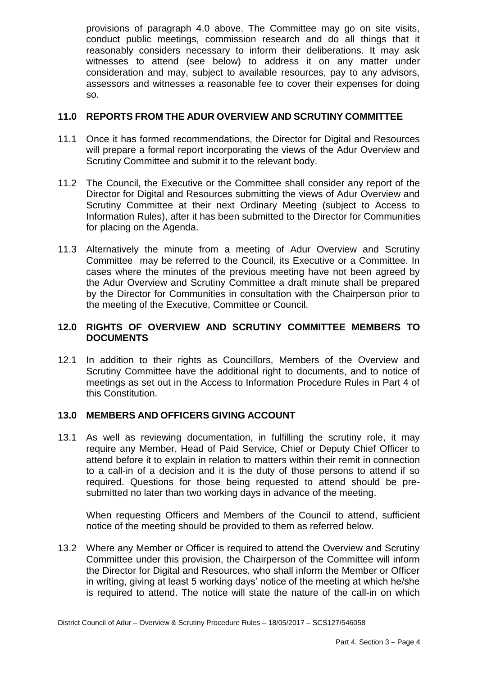provisions of paragraph 4.0 above. The Committee may go on site visits, conduct public meetings, commission research and do all things that it reasonably considers necessary to inform their deliberations. It may ask witnesses to attend (see below) to address it on any matter under consideration and may, subject to available resources, pay to any advisors, assessors and witnesses a reasonable fee to cover their expenses for doing so.

## **11.0 REPORTS FROM THE ADUR OVERVIEW AND SCRUTINY COMMITTEE**

- 11.1 Once it has formed recommendations, the Director for Digital and Resources will prepare a formal report incorporating the views of the Adur Overview and Scrutiny Committee and submit it to the relevant body.
- 11.2 The Council, the Executive or the Committee shall consider any report of the Director for Digital and Resources submitting the views of Adur Overview and Scrutiny Committee at their next Ordinary Meeting (subject to Access to Information Rules), after it has been submitted to the Director for Communities for placing on the Agenda.
- 11.3 Alternatively the minute from a meeting of Adur Overview and Scrutiny Committee may be referred to the Council, its Executive or a Committee. In cases where the minutes of the previous meeting have not been agreed by the Adur Overview and Scrutiny Committee a draft minute shall be prepared by the Director for Communities in consultation with the Chairperson prior to the meeting of the Executive, Committee or Council.

## **12.0 RIGHTS OF OVERVIEW AND SCRUTINY COMMITTEE MEMBERS TO DOCUMENTS**

12.1 In addition to their rights as Councillors, Members of the Overview and Scrutiny Committee have the additional right to documents, and to notice of meetings as set out in the Access to Information Procedure Rules in Part 4 of this Constitution.

## **13.0 MEMBERS AND OFFICERS GIVING ACCOUNT**

13.1 As well as reviewing documentation, in fulfilling the scrutiny role, it may require any Member, Head of Paid Service, Chief or Deputy Chief Officer to attend before it to explain in relation to matters within their remit in connection to a call-in of a decision and it is the duty of those persons to attend if so required. Questions for those being requested to attend should be presubmitted no later than two working days in advance of the meeting.

When requesting Officers and Members of the Council to attend, sufficient notice of the meeting should be provided to them as referred below.

13.2 Where any Member or Officer is required to attend the Overview and Scrutiny Committee under this provision, the Chairperson of the Committee will inform the Director for Digital and Resources, who shall inform the Member or Officer in writing, giving at least 5 working days' notice of the meeting at which he/she is required to attend. The notice will state the nature of the call-in on which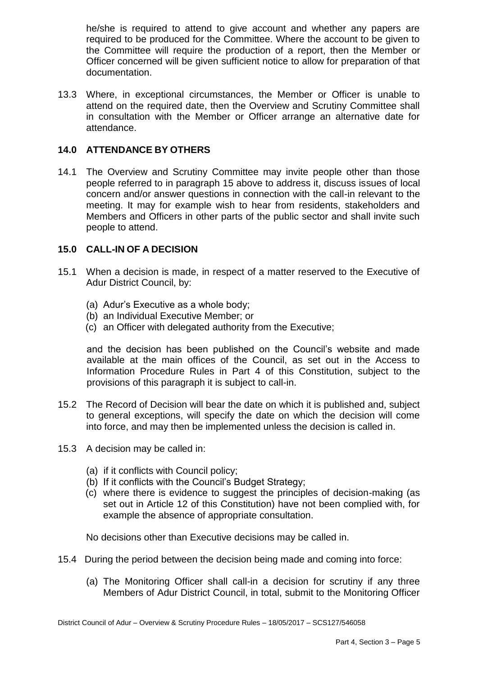he/she is required to attend to give account and whether any papers are required to be produced for the Committee. Where the account to be given to the Committee will require the production of a report, then the Member or Officer concerned will be given sufficient notice to allow for preparation of that documentation.

13.3 Where, in exceptional circumstances, the Member or Officer is unable to attend on the required date, then the Overview and Scrutiny Committee shall in consultation with the Member or Officer arrange an alternative date for attendance.

## **14.0 ATTENDANCE BY OTHERS**

14.1 The Overview and Scrutiny Committee may invite people other than those people referred to in paragraph 15 above to address it, discuss issues of local concern and/or answer questions in connection with the call-in relevant to the meeting. It may for example wish to hear from residents, stakeholders and Members and Officers in other parts of the public sector and shall invite such people to attend.

# **15.0 CALL-IN OF A DECISION**

- 15.1 When a decision is made, in respect of a matter reserved to the Executive of Adur District Council, by:
	- (a) Adur's Executive as a whole body;
	- (b) an Individual Executive Member; or
	- (c) an Officer with delegated authority from the Executive;

and the decision has been published on the Council's website and made available at the main offices of the Council, as set out in the Access to Information Procedure Rules in Part 4 of this Constitution, subject to the provisions of this paragraph it is subject to call-in.

- 15.2 The Record of Decision will bear the date on which it is published and, subject to general exceptions, will specify the date on which the decision will come into force, and may then be implemented unless the decision is called in.
- 15.3 A decision may be called in:
	- (a) if it conflicts with Council policy;
	- (b) If it conflicts with the Council's Budget Strategy;
	- (c) where there is evidence to suggest the principles of decision-making (as set out in Article 12 of this Constitution) have not been complied with, for example the absence of appropriate consultation.

No decisions other than Executive decisions may be called in.

- 15.4 During the period between the decision being made and coming into force:
	- (a) The Monitoring Officer shall call-in a decision for scrutiny if any three Members of Adur District Council, in total, submit to the Monitoring Officer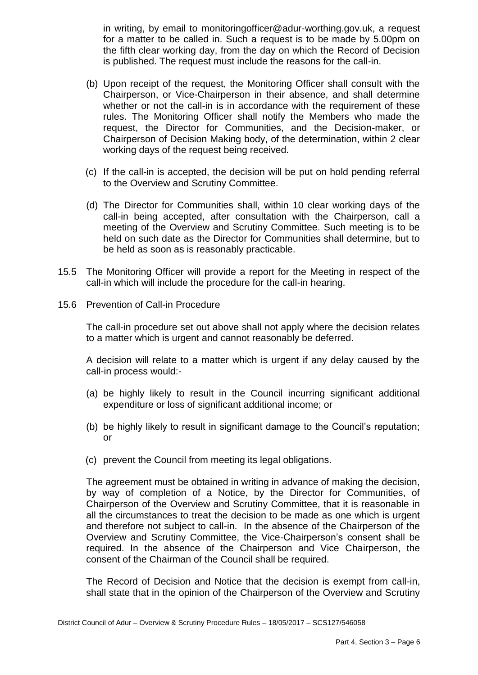in writing, by email to [monitoringofficer@adur-worthing.gov.uk,](mailto:monitoringofficer@adur-worthing.gov.uk) a request for a matter to be called in. Such a request is to be made by 5.00pm on the fifth clear working day, from the day on which the Record of Decision is published. The request must include the reasons for the call-in.

- (b) Upon receipt of the request, the Monitoring Officer shall consult with the Chairperson, or Vice-Chairperson in their absence, and shall determine whether or not the call-in is in accordance with the requirement of these rules. The Monitoring Officer shall notify the Members who made the request, the Director for Communities, and the Decision-maker, or Chairperson of Decision Making body, of the determination, within 2 clear working days of the request being received.
- (c) If the call-in is accepted, the decision will be put on hold pending referral to the Overview and Scrutiny Committee.
- (d) The Director for Communities shall, within 10 clear working days of the call-in being accepted, after consultation with the Chairperson, call a meeting of the Overview and Scrutiny Committee. Such meeting is to be held on such date as the Director for Communities shall determine, but to be held as soon as is reasonably practicable.
- 15.5 The Monitoring Officer will provide a report for the Meeting in respect of the call-in which will include the procedure for the call-in hearing.
- 15.6 Prevention of Call-in Procedure

The call-in procedure set out above shall not apply where the decision relates to a matter which is urgent and cannot reasonably be deferred.

A decision will relate to a matter which is urgent if any delay caused by the call-in process would:-

- (a) be highly likely to result in the Council incurring significant additional expenditure or loss of significant additional income; or
- (b) be highly likely to result in significant damage to the Council's reputation; or
- (c) prevent the Council from meeting its legal obligations.

The agreement must be obtained in writing in advance of making the decision, by way of completion of a Notice, by the Director for Communities, of Chairperson of the Overview and Scrutiny Committee, that it is reasonable in all the circumstances to treat the decision to be made as one which is urgent and therefore not subject to call-in. In the absence of the Chairperson of the Overview and Scrutiny Committee, the Vice-Chairperson's consent shall be required. In the absence of the Chairperson and Vice Chairperson, the consent of the Chairman of the Council shall be required.

The Record of Decision and Notice that the decision is exempt from call-in, shall state that in the opinion of the Chairperson of the Overview and Scrutiny